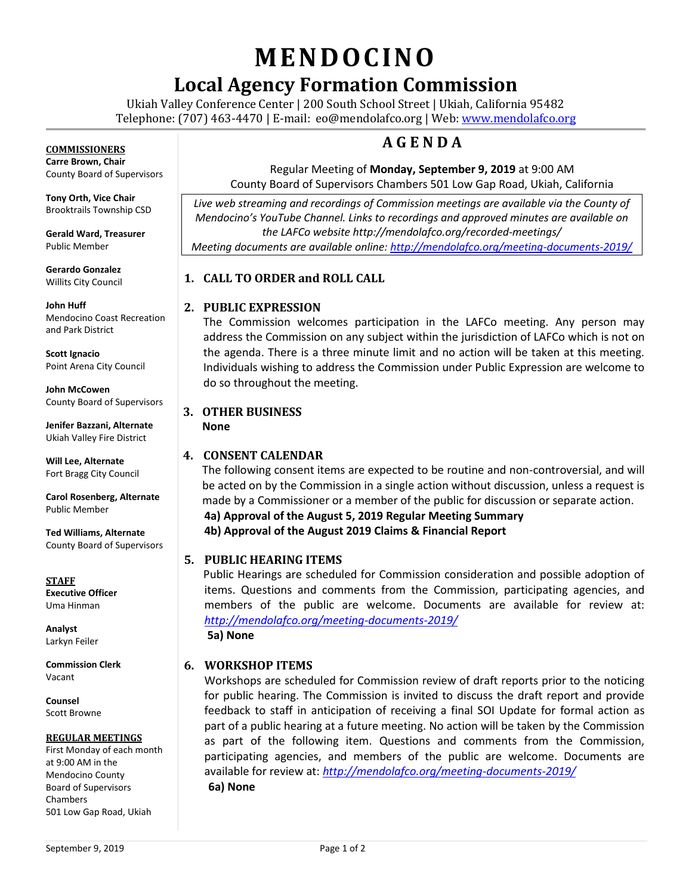# **MENDOCINO**

# **Local Agency Formation Commission**

Ukiah Valley Conference Center | 200 South School Street | Ukiah, California 95482 Telephone: (707) 463-4470 | E-mail: [eo@mendolafco.org](mailto:eo@mendolafco.org) | Web[: www.mendolafco.org](http://www.mendolafco.org/)

## **A G E N D A**

#### Regular Meeting of **Monday, September 9, 2019** at 9:00 AM County Board of Supervisors Chambers 501 Low Gap Road, Ukiah, California

*Live web streaming and recordings of Commission meetings are available via the County of Mendocino's YouTube Channel. Links to recordings and approved minutes are available on the LAFCo website http://mendolafco.org/recorded-meetings/ Meeting documents are available online[: http://mendolafco.org/meeting-documents-2019/](http://mendolafco.org/meeting-documents-2019/)*

### **1. CALL TO ORDER and ROLL CALL**

### **2. PUBLIC EXPRESSION**

The Commission welcomes participation in the LAFCo meeting. Any person may address the Commission on any subject within the jurisdiction of LAFCo which is not on the agenda. There is a three minute limit and no action will be taken at this meeting. Individuals wishing to address the Commission under Public Expression are welcome to do so throughout the meeting.

### **3. OTHER BUSINESS**

**None**

### **4. CONSENT CALENDAR**

The following consent items are expected to be routine and non-controversial, and will be acted on by the Commission in a single action without discussion, unless a request is made by a Commissioner or a member of the public for discussion or separate action. **4a) Approval of the August 5, 2019 Regular Meeting Summary 4b) Approval of the August 2019 Claims & Financial Report**

### **5. PUBLIC HEARING ITEMS**

Public Hearings are scheduled for Commission consideration and possible adoption of items. Questions and comments from the Commission, participating agencies, and members of the public are welcome. Documents are available for review at: *<http://mendolafco.org/meeting-documents-2019/>* **5a) None**

### **6. WORKSHOP ITEMS**

Workshops are scheduled for Commission review of draft reports prior to the noticing for public hearing. The Commission is invited to discuss the draft report and provide feedback to staff in anticipation of receiving a final SOI Update for formal action as part of a public hearing at a future meeting. No action will be taken by the Commission as part of the following item. Questions and comments from the Commission, participating agencies, and members of the public are welcome. Documents are available for review at: *<http://mendolafco.org/meeting-documents-2019/>* **6a) None**

County Board of Supervisors

**Tony Orth, Vice Chair** Brooktrails Township CSD

**Gerald Ward, Treasurer** Public Member

**Gerardo Gonzalez** Willits City Council

**John Huff**  Mendocino Coast Recreation and Park District

**Scott Ignacio** Point Arena City Council

**John McCowen** County Board of Supervisors

**Jenifer Bazzani, Alternate** Ukiah Valley Fire District

**Will Lee, Alternate** Fort Bragg City Council

**Carol Rosenberg, Alternate** Public Member

**Ted Williams, Alternate** County Board of Supervisors

**STAFF Executive Officer** Uma Hinman

**Analyst** Larkyn Feiler

**Commission Clerk** Vacant

**Counsel** Scott Browne

#### **REGULAR MEETINGS**

First Monday of each month at 9:00 AM in the Mendocino County Board of Supervisors Chambers 501 Low Gap Road, Ukiah